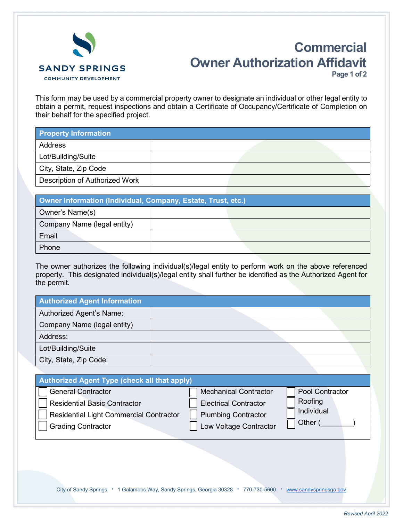

## **Commercial Owner Authorization Affidavit Page 1 of 2**

This form may be used by a commercial property owner to designate an individual or other legal entity to obtain a permit, request inspections and obtain a Certificate of Occupancy/Certificate of Completion on their behalf for the specified project.

| <b>Property Information</b>    |  |  |
|--------------------------------|--|--|
| Address                        |  |  |
| Lot/Building/Suite             |  |  |
| City, State, Zip Code          |  |  |
| Description of Authorized Work |  |  |

| Owner Information (Individual, Company, Estate, Trust, etc.) |  |  |  |
|--------------------------------------------------------------|--|--|--|
| Owner's Name(s)                                              |  |  |  |
| Company Name (legal entity)                                  |  |  |  |
| Email                                                        |  |  |  |
| Phone                                                        |  |  |  |

The owner authorizes the following individual(s)/legal entity to perform work on the above referenced property. This designated individual(s)/legal entity shall further be identified as the Authorized Agent for the permit.

| <b>Authorized Agent Information</b> |  |
|-------------------------------------|--|
| Authorized Agent's Name:            |  |
| Company Name (legal entity)         |  |
| Address:                            |  |
| Lot/Building/Suite                  |  |
| City, State, Zip Code:              |  |

| <b>Authorized Agent Type (check all that apply)</b> |                              |                 |  |  |  |
|-----------------------------------------------------|------------------------------|-----------------|--|--|--|
| <b>General Contractor</b>                           | <b>Mechanical Contractor</b> | Pool Contractor |  |  |  |
| <b>Residential Basic Contractor</b>                 | <b>Electrical Contractor</b> | Roofing         |  |  |  |
| <b>Residential Light Commercial Contractor</b>      | <b>Plumbing Contractor</b>   | Individual      |  |  |  |
| <b>Grading Contractor</b>                           | Low Voltage Contractor       | Other           |  |  |  |

City of Sandy Springs **●** 1 Galambos Way, Sandy Springs, Georgia 30328 **●** 770-730-5600 **●** [www.sandyspringsga.gov](http://www.sandyspringsga.gov/)